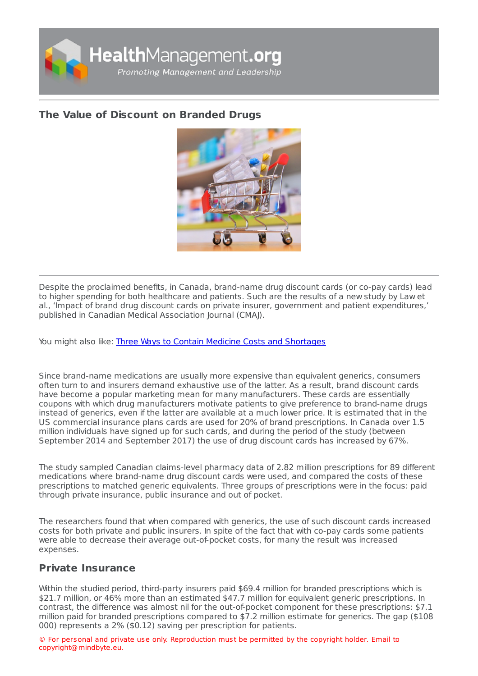

# **The Value of [Discount](https://healthmanagement.org/s/the-value-of-discount-on-branded-drugs) on Branded Drugs**



Despite the proclaimed benefits, in Canada, brand-name drug discount cards (or co-pay cards) lead to higher spending for both healthcare and patients. Such are the results of a new study by Law et al., 'Impact of brand drug discount cards on private insurer, government and patient expenditures,' published in Canadian Medical Association Journal (CMAJ).

You might also like: Three Ways to Contain Medicine Costs and [Shortages](https://healthmanagement.org/c/hospital/news/3-ways-to-contain-medicine-costs-and-shortages)

Since brand-name medications are usually more expensive than equivalent generics, consumers often turn to and insurers demand exhaustive use of the latter. As a result, brand discount cards have become a popular marketing mean for many manufacturers. These cards are essentially coupons with which drug manufacturers motivate patients to give preference to brand-name drugs instead of generics, even if the latter are available at a much lower price. It is estimated that in the US commercial insurance plans cards are used for 20% of brand prescriptions. In Canada over 1.5 million individuals have signed up for such cards, and during the period of the study (between September 2014 and September 2017) the use of drug discount cards has increased by 67%.

The study sampled Canadian claims-level pharmacy data of 2.82 million prescriptions for 89 different medications where brand-name drug discount cards were used, and compared the costs of these prescriptions to matched generic equivalents. Three groups of prescriptions were in the focus: paid through private insurance, public insurance and out of pocket.

The researchers found that when compared with generics, the use of such discount cards increased costs for both private and public insurers. In spite of the fact that with co-pay cards some patients were able to decrease their average out-of-pocket costs, for many the result was increased expenses.

## **Private Insurance**

Within the studied period, third-party insurers paid \$69.4 million for branded prescriptions which is \$21.7 million, or 46% more than an estimated \$47.7 million for equivalent generic prescriptions. In contrast, the difference was almost nil for the out-of-pocket component for these prescriptions: \$7.1 million paid for branded prescriptions compared to \$7.2 million estimate for generics. The gap (\$108 000) represents a 2% (\$0.12) saving per prescription for patients.

© For personal and private use only. Reproduction must be permitted by the copyright holder. Email to copyright@mindbyte.eu.